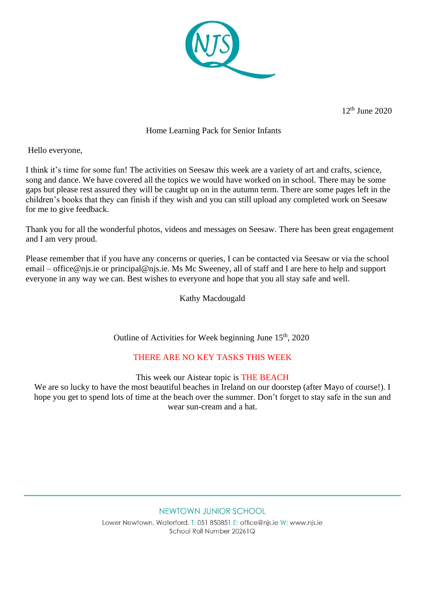

12th June 2020

## Home Learning Pack for Senior Infants

Hello everyone,

I think it's time for some fun! The activities on Seesaw this week are a variety of art and crafts, science, song and dance. We have covered all the topics we would have worked on in school. There may be some gaps but please rest assured they will be caught up on in the autumn term. There are some pages left in the children's books that they can finish if they wish and you can still upload any completed work on Seesaw for me to give feedback.

Thank you for all the wonderful photos, videos and messages on Seesaw. There has been great engagement and I am very proud.

Please remember that if you have any concerns or queries, I can be contacted via Seesaw or via the school email – office@njs.ie or principal@njs.ie. Ms Mc Sweeney, all of staff and I are here to help and support everyone in any way we can. Best wishes to everyone and hope that you all stay safe and well.

Kathy Macdougald

Outline of Activities for Week beginning June 15<sup>th</sup>, 2020

## THERE ARE NO KEY TASKS THIS WEEK

This week our Aistear topic is THE BEACH

We are so lucky to have the most beautiful beaches in Ireland on our doorstep (after Mayo of course!). I hope you get to spend lots of time at the beach over the summer. Don't forget to stay safe in the sun and wear sun-cream and a hat.

## NEWTOWN JUNIOR SCHOOL

Lower Newtown, Waterford, T: 051 850851 E: office@nis.ie W: www.nis.ie School Roll Number 20261Q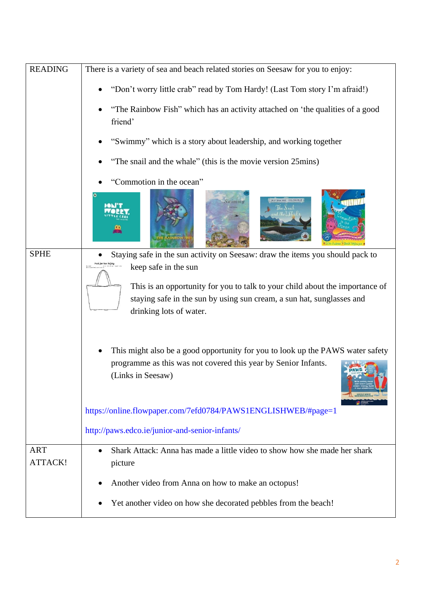| <b>READING</b>               | There is a variety of sea and beach related stories on Seesaw for you to enjoy:                      |
|------------------------------|------------------------------------------------------------------------------------------------------|
|                              | "Don't worry little crab" read by Tom Hardy! (Last Tom story I'm afraid!)                            |
|                              | "The Rainbow Fish" which has an activity attached on 'the qualities of a good<br>friend'             |
|                              | "Swimmy" which is a story about leadership, and working together                                     |
|                              | "The snail and the whale" (this is the movie version 25mins)                                         |
|                              | "Commotion in the ocean"                                                                             |
|                              | <b><i>DVALISON - AVEL SCHEFFLER</i></b>                                                              |
| <b>SPHE</b>                  | Staying safe in the sun activity on Seesaw: draw the items you should pack to<br>Pack for Sun Safety |
|                              | keep safe in the sun<br>This is an opportunity for you to talk to your child about the importance of |
|                              | staying safe in the sun by using sun cream, a sun hat, sunglasses and<br>drinking lots of water.     |
|                              |                                                                                                      |
|                              | This might also be a good opportunity for you to look up the PAWS water safety                       |
|                              | programme as this was not covered this year by Senior Infants.<br>(Links in Seesaw)                  |
|                              | https://online.flowpaper.com/7efd0784/PAWS1ENGLISHWEB/#page=1                                        |
|                              | http://paws.edco.ie/junior-and-senior-infants/                                                       |
| <b>ART</b><br><b>ATTACK!</b> | Shark Attack: Anna has made a little video to show how she made her shark<br>$\bullet$<br>picture    |
|                              | Another video from Anna on how to make an octopus!                                                   |
|                              | Yet another video on how she decorated pebbles from the beach!                                       |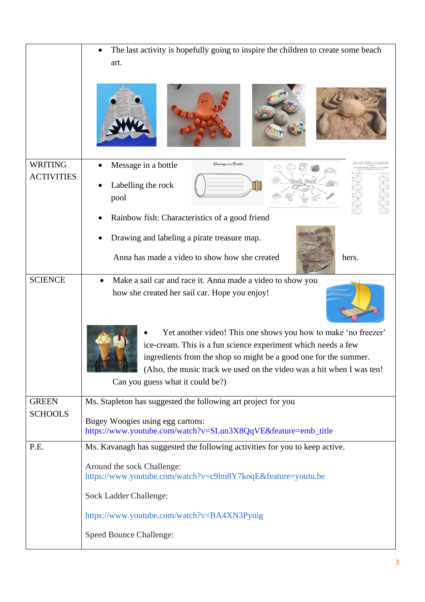|                                | The last activity is hopefully going to inspire the children to create some beach<br>art.                                         |
|--------------------------------|-----------------------------------------------------------------------------------------------------------------------------------|
|                                |                                                                                                                                   |
| <b>WRITING</b>                 | Message in a bottle<br>Message in a Bottle                                                                                        |
| <b>ACTIVITIES</b>              | Labelling the rock<br>pool                                                                                                        |
|                                | Rainbow fish: Characteristics of a good friend                                                                                    |
|                                | Drawing and labeling a pirate treasure map.                                                                                       |
|                                | Anna has made a video to show how she created<br>hers.                                                                            |
| <b>SCIENCE</b>                 | Make a sail car and race it. Anna made a video to show you                                                                        |
|                                | how she created her sail car. Hope you enjoy!                                                                                     |
|                                | Yet another video! This one shows you how to make 'no freezer'                                                                    |
|                                | ice-cream. This is a fun science experiment which needs a few<br>ingredients from the shop so might be a good one for the summer. |
|                                | (Also, the music track we used on the video was a hit when I was ten!                                                             |
|                                | Can you guess what it could be?)                                                                                                  |
| <b>GREEN</b><br><b>SCHOOLS</b> | Ms. Stapleton has suggested the following art project for you                                                                     |
|                                | Bugey Woogies using egg cartons:<br>https://www.youtube.com/watch?v=SLun3X8QqVE&feature=emb_title                                 |
| P.E.                           | Ms. Kavanagh has suggested the following activities for you to keep active.                                                       |
|                                | Around the sock Challenge:<br>https://www.youtube.com/watch?v=c9lm8Y7koqE&feature=youtu.be                                        |
|                                | Sock Ladder Challenge:                                                                                                            |
|                                | https://www.youtube.com/watch?v=BA4XN3Pynig                                                                                       |
|                                | <b>Speed Bounce Challenge:</b>                                                                                                    |